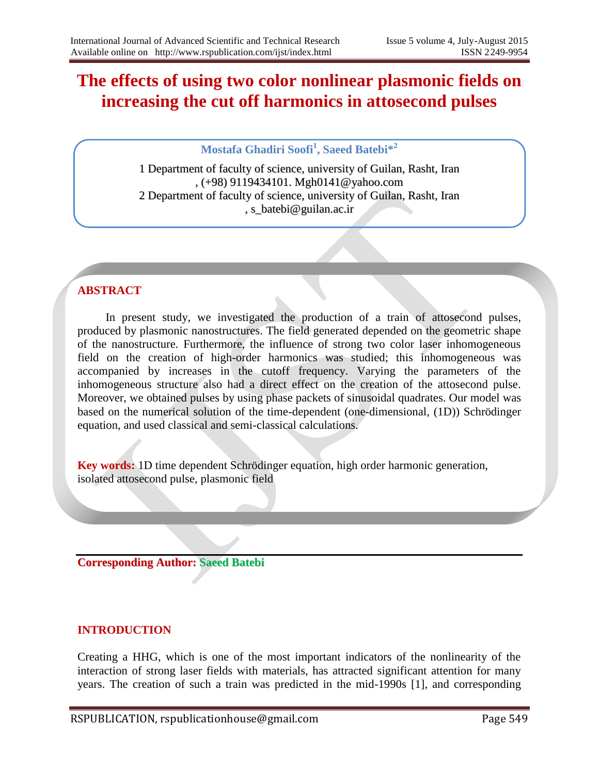# **The effects of using two color nonlinear plasmonic fields on increasing the cut off harmonics in attosecond pulses**

**Mostafa Ghadiri Soofi<sup>1</sup> , Saeed Batebi\*<sup>2</sup>**

1 Department of faculty of science, university of Guilan, Rasht, Iran , (+98) 9119434101. Mgh0141@yahoo.com 2 Department of faculty of science, university of Guilan, Rasht, Iran , s\_batebi@guilan.ac.ir

# **ABSTRACT**

In present study, we investigated the production of a train of attosecond pulses, produced by plasmonic nanostructures. The field generated depended on the geometric shape of the nanostructure. Furthermore, the influence of strong two color laser inhomogeneous field on the creation of high-order harmonics was studied; this inhomogeneous was accompanied by increases in the cutoff frequency. Varying the parameters of the inhomogeneous structure also had a direct effect on the creation of the attosecond pulse. Moreover, we obtained pulses by using phase packets of sinusoidal quadrates. Our model was based on the numerical solution of the time-dependent (one-dimensional, (1D)) Schrödinger equation, and used classical and semi-classical calculations.

**Key words:** 1D time dependent Schrödinger equation, high order harmonic generation, isolated attosecond pulse, plasmonic field

**Corresponding Author: Saeed Batebi**

## **INTRODUCTION**

Creating a HHG, which is one of the most important indicators of the nonlinearity of the interaction of strong laser fields with materials, has attracted significant attention for many years. The creation of such a train was predicted in the mid-1990s [1], and corresponding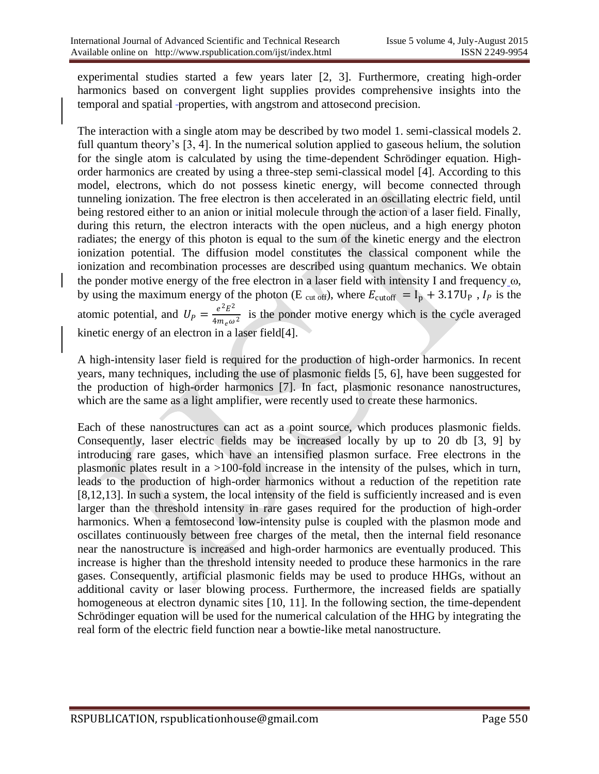experimental studies started a few years later [2, 3]. Furthermore, creating high-order harmonics based on convergent light supplies provides comprehensive insights into the temporal and spatial properties, with angstrom and attosecond precision.

The interaction with a single atom may be described by two model 1. semi-classical models 2. full quantum theory's [3, 4]. In the numerical solution applied to gaseous helium, the solution for the single atom is calculated by using the time-dependent Schrödinger equation. Highorder harmonics are created by using a three-step semi-classical model [4]. According to this model, electrons, which do not possess kinetic energy, will become connected through tunneling ionization. The free electron is then accelerated in an oscillating electric field, until being restored either to an anion or initial molecule through the action of a laser field. Finally, during this return, the electron interacts with the open nucleus, and a high energy photon radiates; the energy of this photon is equal to the sum of the kinetic energy and the electron ionization potential. The diffusion model constitutes the classical component while the ionization and recombination processes are described using quantum mechanics. We obtain the ponder motive energy of the free electron in a laser field with intensity I and frequency  $\omega$ , by using the maximum energy of the photon (E cut off), where  $E_{\text{cutoff}} = I_p + 3.17U_p$ ,  $I_p$  is the atomic potential, and  $U_P = \frac{e^2 E^2}{4m \omega}$  $\frac{e^{\frac{E}{m}}E}{4m_e\omega^2}$  is the ponder motive energy which is the cycle averaged kinetic energy of an electron in a laser field[4].

A high-intensity laser field is required for the production of high-order harmonics. In recent years, many techniques, including the use of plasmonic fields [5, 6], have been suggested for the production of high-order harmonics [7]. In fact, plasmonic resonance nanostructures, which are the same as a light amplifier, were recently used to create these harmonics.

Each of these nanostructures can act as a point source, which produces plasmonic fields. Consequently, laser electric fields may be increased locally by up to 20 db [3, 9] by introducing rare gases, which have an intensified plasmon surface. Free electrons in the plasmonic plates result in a >100-fold increase in the intensity of the pulses, which in turn, leads to the production of high-order harmonics without a reduction of the repetition rate [8,12,13]. In such a system, the local intensity of the field is sufficiently increased and is even larger than the threshold intensity in rare gases required for the production of high-order harmonics. When a femtosecond low-intensity pulse is coupled with the plasmon mode and oscillates continuously between free charges of the metal, then the internal field resonance near the nanostructure is increased and high-order harmonics are eventually produced. This increase is higher than the threshold intensity needed to produce these harmonics in the rare gases. Consequently, artificial plasmonic fields may be used to produce HHGs, without an additional cavity or laser blowing process. Furthermore, the increased fields are spatially homogeneous at electron dynamic sites [10, 11]. In the following section, the time-dependent Schrödinger equation will be used for the numerical calculation of the HHG by integrating the real form of the electric field function near a bowtie-like metal nanostructure.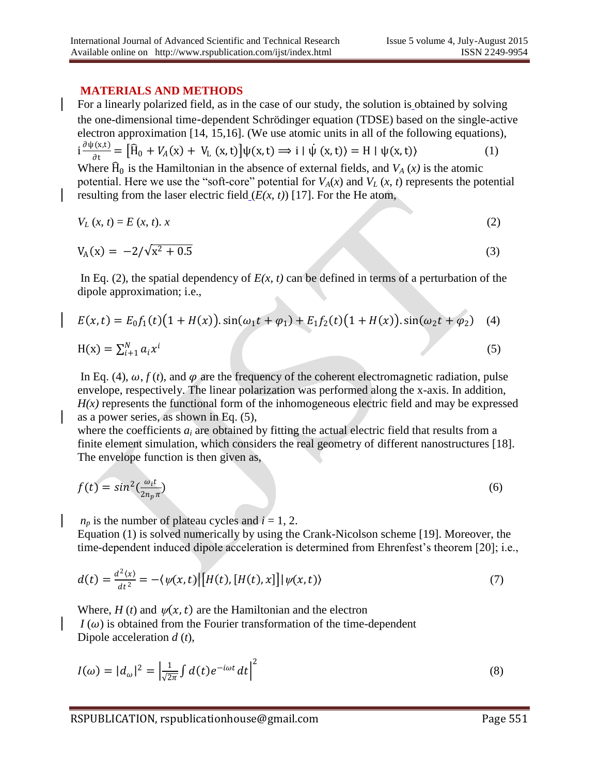#### **MATERIALS AND METHODS**

For a linearly polarized field, as in the case of our study, the solution is obtained by solving the one-dimensional time**-**dependent Schrödinger equation (TDSE) based on the single-active electron approximation [14, 15,16]. (We use atomic units in all of the following equations),  $i \frac{\partial \psi(x,t)}{\partial t}$  $\frac{f(x,t)}{\partial t} = [\hat{H}_0 + V_A(x) + V_L(x,t)]\psi(x,t) \Rightarrow i | \psi(x,t) \rangle = H | \psi(x,t) \rangle$  (1) Where  $\widehat{H}_0$  is the Hamiltonian in the absence of external fields, and  $V_A(x)$  is the atomic potential. Here we use the "soft-core" potential for  $V_A(x)$  and  $V_L(x, t)$  represents the potential resulting from the laser electric field  $(E(x, t))$  [17]. For the He atom,

$$
V_L(x, t) = E(x, t). \tag{2}
$$

$$
V_A(x) = -2/\sqrt{x^2 + 0.5}
$$
 (3)

In Eq. (2), the spatial dependency of  $E(x, t)$  can be defined in terms of a perturbation of the dipole approximation; i.e.,

$$
E(x,t) = E_0 f_1(t) (1 + H(x)) \cdot \sin(\omega_1 t + \varphi_1) + E_1 f_2(t) (1 + H(x)) \cdot \sin(\omega_2 t + \varphi_2)
$$
 (4)  
H(x) =  $\sum_{i=1}^{N} a_i x^i$  (5)

In Eq. (4),  $\omega$ ,  $f(t)$ , and  $\varphi$  are the frequency of the coherent electromagnetic radiation, pulse envelope, respectively. The linear polarization was performed along the x-axis. In addition,  $H(x)$  represents the functional form of the inhomogeneous electric field and may be expressed as a power series, as shown in Eq. (5),

where the coefficients  $a_i$  are obtained by fitting the actual electric field that results from a finite element simulation, which considers the real geometry of different nanostructures [18]. The envelope function is then given as,

$$
f(t) = \sin^2(\frac{\omega_i t}{2n_p \pi})
$$
\n(6)

 $n_p$  is the number of plateau cycles and  $i = 1, 2$ .

Equation (1) is solved numerically by using the Crank-Nicolson scheme [19]. Moreover, the time-dependent induced dipole acceleration is determined from Ehrenfest's theorem [20]; i.e.,

$$
d(t) = \frac{d^2(x)}{dt^2} = -\langle \psi(x, t) | [H(t), [H(t), x]] | \psi(x, t) \rangle
$$
\n(7)

Where,  $H(t)$  and  $\psi(x, t)$  are the Hamiltonian and the electron  $I(\omega)$  is obtained from the Fourier transformation of the time-dependent Dipole acceleration *d* (*t*),

$$
I(\omega) = |d_{\omega}|^2 = \left| \frac{1}{\sqrt{2\pi}} \int d(t) e^{-i\omega t} dt \right|^2 \tag{8}
$$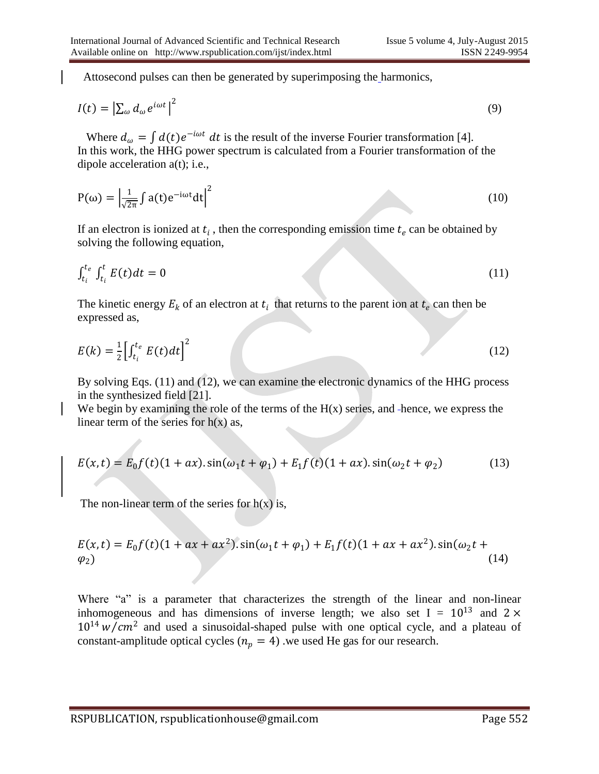Attosecond pulses can then be generated by superimposing the harmonics,

$$
I(t) = \left| \sum_{\omega} d_{\omega} e^{i\omega t} \right|^2 \tag{9}
$$

Where  $d_{\omega} = \int d(t)e^{-i\omega t} dt$  is the result of the inverse Fourier transformation [4]. In this work, the HHG power spectrum is calculated from a Fourier transformation of the dipole acceleration a(t); i.e.,

$$
P(\omega) = \left| \frac{1}{\sqrt{2\pi}} \int a(t) e^{-i\omega t} dt \right|^2
$$
 (10)

If an electron is ionized at  $t_i$ , then the corresponding emission time  $t_e$  can be obtained by solving the following equation,

$$
\int_{t_i}^{t_e} \int_{t_i}^t E(t)dt = 0 \tag{11}
$$

The kinetic energy  $E_k$  of an electron at  $t_i$  that returns to the parent ion at  $t_e$  can then be expressed as,

$$
E(k) = \frac{1}{2} \left[ \int_{t_i}^{t_e} E(t) dt \right]^2 \tag{12}
$$

By solving Eqs. (11) and (12), we can examine the electronic dynamics of the HHG process in the synthesized field [21].

We begin by examining the role of the terms of the  $H(x)$  series, and -hence, we express the linear term of the series for  $h(x)$  as,

$$
E(x,t) = E_0 f(t) (1 + ax) . \sin(\omega_1 t + \varphi_1) + E_1 f(t) (1 + ax) . \sin(\omega_2 t + \varphi_2)
$$
 (13)

The non-linear term of the series for  $h(x)$  is,

$$
E(x,t) = E_0 f(t) (1 + ax + ax^2) \cdot \sin(\omega_1 t + \varphi_1) + E_1 f(t) (1 + ax + ax^2) \cdot \sin(\omega_2 t + \varphi_2)
$$
\n(14)

Where "a" is a parameter that characterizes the strength of the linear and non-linear inhomogeneous and has dimensions of inverse length; we also set I =  $10^{13}$  and 2  $\times$  $10^{14}$  w/cm<sup>2</sup> and used a sinusoidal-shaped pulse with one optical cycle, and a plateau of constant-amplitude optical cycles ( $n_p = 4$ ) we used He gas for our research.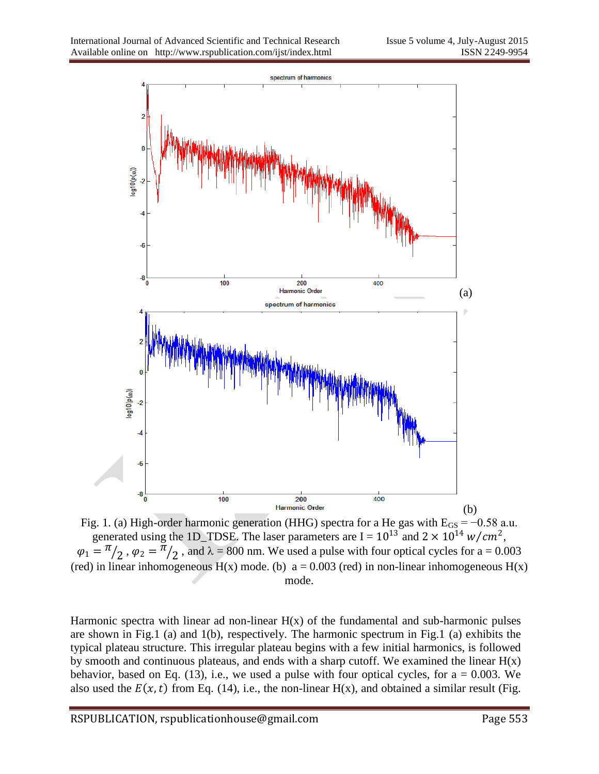

Fig. 1. (a) High-order harmonic generation (HHG) spectra for a He gas with  $E_{GS} = -0.58$  a.u. generated using the 1D\_TDSE. The laser parameters are  $I = 10^{13}$  and  $2 \times 10^{14}$  w/cm<sup>2</sup>,  $\varphi_1 = \pi / 2$ ,  $\varphi_2 = \pi / 2$ , and  $\lambda = 800$  nm. We used a pulse with four optical cycles for a = 0.003 (red) in linear inhomogeneous  $H(x)$  mode. (b)  $a = 0.003$  (red) in non-linear inhomogeneous  $H(x)$ mode.

Harmonic spectra with linear ad non-linear  $H(x)$  of the fundamental and sub-harmonic pulses are shown in Fig.1 (a) and 1(b), respectively. The harmonic spectrum in Fig.1 (a) exhibits the typical plateau structure. This irregular plateau begins with a few initial harmonics, is followed by smooth and continuous plateaus, and ends with a sharp cutoff. We examined the linear  $H(x)$ behavior, based on Eq. (13), i.e., we used a pulse with four optical cycles, for  $a = 0.003$ . We also used the  $E(x, t)$  from Eq. (14), i.e., the non-linear H(x), and obtained a similar result (Fig.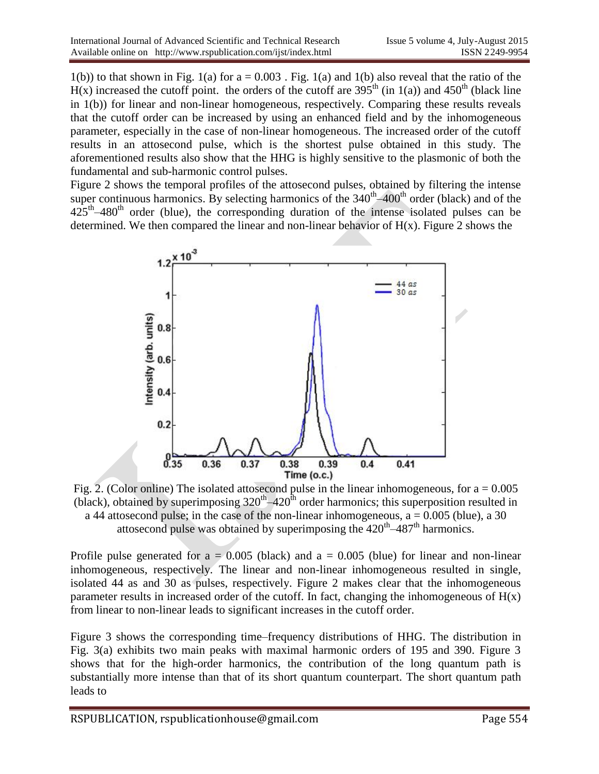$1(b)$ ) to that shown in Fig.  $1(a)$  for  $a = 0.003$ . Fig.  $1(a)$  and  $1(b)$  also reveal that the ratio of the  $H(x)$  increased the cutoff point. the orders of the cutoff are 395<sup>th</sup> (in 1(a)) and 450<sup>th</sup> (black line in 1(b)) for linear and non-linear homogeneous, respectively. Comparing these results reveals that the cutoff order can be increased by using an enhanced field and by the inhomogeneous parameter, especially in the case of non-linear homogeneous. The increased order of the cutoff results in an attosecond pulse, which is the shortest pulse obtained in this study. The aforementioned results also show that the HHG is highly sensitive to the plasmonic of both the fundamental and sub-harmonic control pulses.

Figure 2 shows the temporal profiles of the attosecond pulses, obtained by filtering the intense super continuous harmonics. By selecting harmonics of the  $340<sup>th</sup> - 400<sup>th</sup>$  order (black) and of the  $425<sup>th</sup>-480<sup>th</sup>$  order (blue), the corresponding duration of the intense isolated pulses can be determined. We then compared the linear and non-linear behavior of  $H(x)$ . Figure 2 shows the



Fig. 2. (Color online) The isolated attosecond pulse in the linear inhomogeneous, for  $a = 0.005$ (black), obtained by superimposing  $320<sup>th</sup>-420<sup>th</sup>$  order harmonics; this superposition resulted in a 44 attosecond pulse; in the case of the non-linear inhomogeneous,  $a = 0.005$  (blue), a 30 attosecond pulse was obtained by superimposing the  $420<sup>th</sup> - 487<sup>th</sup>$  harmonics.

Profile pulse generated for  $a = 0.005$  (black) and  $a = 0.005$  (blue) for linear and non-linear inhomogeneous, respectively. The linear and non-linear inhomogeneous resulted in single, isolated 44 as and 30 as pulses, respectively. Figure 2 makes clear that the inhomogeneous parameter results in increased order of the cutoff. In fact, changing the inhomogeneous of  $H(x)$ from linear to non-linear leads to significant increases in the cutoff order.

Figure 3 shows the corresponding time–frequency distributions of HHG. The distribution in Fig. 3(a) exhibits two main peaks with maximal harmonic orders of 195 and 390. Figure 3 shows that for the high-order harmonics, the contribution of the long quantum path is substantially more intense than that of its short quantum counterpart. The short quantum path leads to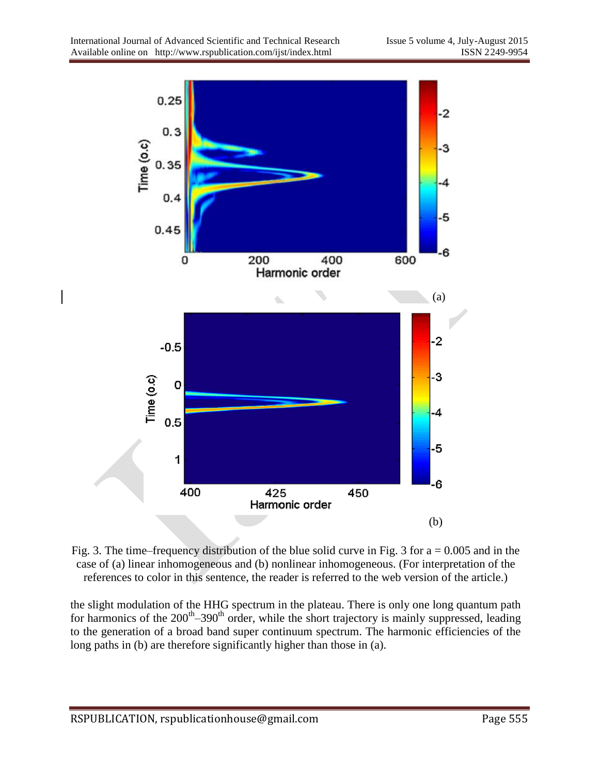

Fig. 3. The time–frequency distribution of the blue solid curve in Fig. 3 for  $a = 0.005$  and in the case of (a) linear inhomogeneous and (b) nonlinear inhomogeneous. (For interpretation of the references to color in this sentence, the reader is referred to the web version of the article.)

the slight modulation of the HHG spectrum in the plateau. There is only one long quantum path for harmonics of the  $200<sup>th</sup> - 390<sup>th</sup>$  order, while the short trajectory is mainly suppressed, leading to the generation of a broad band super continuum spectrum. The harmonic efficiencies of the long paths in (b) are therefore significantly higher than those in (a).